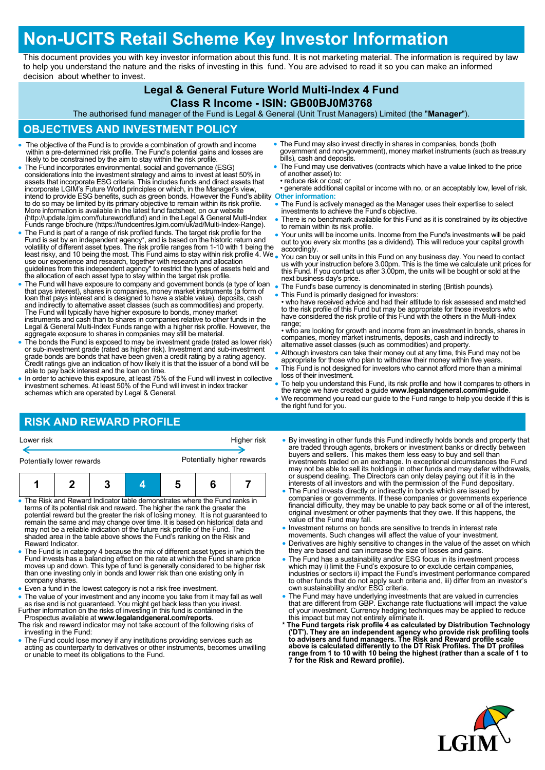# **Non-UCITS Retail Scheme Key Investor Information**

This document provides you with key investor information about this fund. It is not marketing material. The information is required by law to help you understand the nature and the risks of investing in this fund. You are advised to read it so you can make an informed decision about whether to invest.

## **Legal & General Future World Multi-Index 4 Fund**

#### **Class R Income - ISIN: GB00BJ0M3768**

The authorised fund manager of the Fund is Legal & General (Unit Trust Managers) Limited (the "**Manager**").

## **OBJECTIVES AND INVESTMENT POLICY**

- The objective of the Fund is to provide a combination of growth and income within a pre-determined risk profile. The Fund's potential gains and losses are likely to be constrained by the aim to stay within the risk profi
- The Fund incorporates environmental, social and governance (ESG) considerations into the investment strategy and aims to invest at least 50% in<br>assets that incorporate ESG criteria. This includes funds and direct assets that<br>incorporate LGIM's Future World principles or which, in the Ma intend to provide ESG benefits, such as green bonds. However the Fund's ability to do so may be limited by its primary objective to remain within its risk profile. **Other information:** More information is available in the latest fund factsheet, on our website (http://update.lgim.com/futureworldfund) and in the Legal & General Multi-Index Funds range brochure (https://fundcentres.lgim.com/uk/ad/Multi-Index-Range).
- The Fund is part of a range of risk profiled funds. The target risk profile for the Fund is set by an independent agency\*, and is based on the historic return and<br>volatility of different asset types. The risk profile ranges from 1-10 with 1 being the<br>least risky, and 10 being the most. This Fund aims to s guidelines from this independent agency\* to restrict the types of assets held and the allocation of each asset type to stay within the target risk profile.
- The Fund will have exposure to company and government bonds (a type of loan<br>that pays interest), shares in companies, money market instruments (a form of<br>loan that pays interest and is designed to have a stable value), d The Fund will typically have higher exposure to bonds, money market instruments and cash than to shares in companies relative to other funds in the Legal & General Multi-Index Funds range with a higher risk profile. However, the aggregate exposure to shares in companies may still be material.
- The bonds the Fund is exposed to may be investment grade (rated as lower risk) or sub-investment grade (rated as higher risk). Investment and sub-investment grade bonds are bonds that have been given a credit rating by a rating agency. Credit ratings give an indication of how likely it is that the issuer of a bond will be able to pay back interest and the loan on time.
- In order to achieve this exposure, at least 75% of the Fund will invest in collective investment schemes. At least 50% of the Fund will invest in index tracker schemes which are operated by Legal & General.
- The Fund may also invest directly in shares in companies, bonds (both government and non-government), money market instruments (such as treasury bills), cash and deposits.
- The Fund may use derivatives (contracts which have a value linked to the price of another asset) to:
- reduce risk or cost; or • generate additional capital or income with no, or an acceptably low, level of risk.
- The Fund is actively managed as the Manager uses their expertise to select investments to achieve the Fund's objective.
- There is no benchmark available for this Fund as it is constrained by its objective to remain within its risk profile.
- Your units will be income units. Income from the Fund's investments will be paid out to you every six months (as a dividend). This will reduce your capital growth accordingly.
- You can buy or sell units in this Fund on any business day. You need to contact us with your instruction before 3.00pm. This is the time we calculate unit prices for this Fund. If you contact us after 3.00pm, the units will be bought or sold at the next business day's price.
- The Fund's base currency is denominated in sterling (British pounds). This Fund is primarily designed for investors:
- who have received advice and had their attitude to risk assessed and matched to the risk profile of this Fund but may be appropriate for those investors who have considered the risk profile of this Fund with the others in the Multi-Index range;
- who are looking for growth and income from an investment in bonds, shares in companies, money market instruments, deposits, cash and indirectly to alternative asset classes (such as commodities) and property.
- Although investors can take their money out at any time, this Fund may not be appropriate for those who plan to withdraw their money within five years.
- This Fund is not designed for investors who cannot afford more than a minimal loss of their investment.
- To help you understand this Fund, its risk profile and how it compares to others in the range we have created a guide **www.legalandgeneral.com/mi-guide**.
- We recommend you read our guide to the Fund range to help you decide if this is the right fund for you.

## **RISK AND REWARD PROFILE**

| Lower risk |  |
|------------|--|
|            |  |

Higher risk

Potentially lower rewards **Potentially higher rewards** 

|--|--|

- The Risk and Reward Indicator table demonstrates where the Fund ranks in terms of its potential risk and reward. The higher the rank the greater the potential reward but the greater the risk of losing money. It is not guaranteed to remain the same and may change over time. It is based on historical data and may not be a reliable indication of the future risk profile of the Fund. The shaded area in the table above shows the Fund's ranking on the Risk and Reward Indicator.
- The Fund is in category 4 because the mix of different asset types in which the Fund invests has a balancing effect on the rate at which the Fund share price moves up and down. This type of fund is generally considered to be higher risk than one investing only in bonds and lower risk than one existing only in company shares.
- Even a fund in the lowest category is not a risk free investment.

• The value of your investment and any income you take from it may fall as well as rise and is not guaranteed. You might get back less than you invest.<br>Further information on the risks of investing in this fund is containe

- Prospectus available at **www.legalandgeneral.com/reports**.
- The risk and reward indicator may not take account of the following risks of investing in the Fund:
- The Fund could lose money if any institutions providing services such as acting as counterparty to derivatives or other instruments, becomes unwilling or unable to meet its obligations to the Fund.
- By investing in other funds this Fund indirectly holds bonds and property that are traded through agents, brokers or investment banks or directly between buyers and sellers. This makes them less easy to buy and sell than investments traded on an exchange. In exceptional circumstances the Fund may not be able to sell its holdings in other funds and may defer withdrawals, or suspend dealing. The Directors can only delay paying out if it is in the interests of all investors and with the permission of the Fund depositary.
- The Fund invests directly or indirectly in bonds which are issued by companies or governments. If these companies or governments experience financial difficulty, they may be unable to pay back some or all of the interest, original investment or other payments that they owe. If this happens, the value of the Fund may fall.
- Investment returns on bonds are sensitive to trends in interest rate
- movements. Such changes will affect the value of your investment. Derivatives are highly sensitive to changes in the value of the asset on which they are based and can increase the size of losses and gains.
- The Fund has a sustainability and/or ESG focus in its investment process which may i) limit the Fund's exposure to or exclude certain companies, industries or sectors ii) impact the Fund's investment performance compared to other funds that do not apply such criteria and, iii) differ from an investor's own sustainability and/or ESG criteria.
- The Fund may have underlying investments that are valued in currencies that are different from GBP. Exchange rate fluctuations will impact the value of your investment. Currency hedging techniques may be applied to reduce
- this impact but may not entirely eliminate it.<br>
\* The Fund targets risk profile 4 as calculated by Distribution Technology<br>
('DT'). They are an independent agency who provide risk profiling tools<br>
to advisers and fund mana **range from 1 to 10 with 10 being the highest (rather than a scale of 1 to 7 for the Risk and Reward profile).**